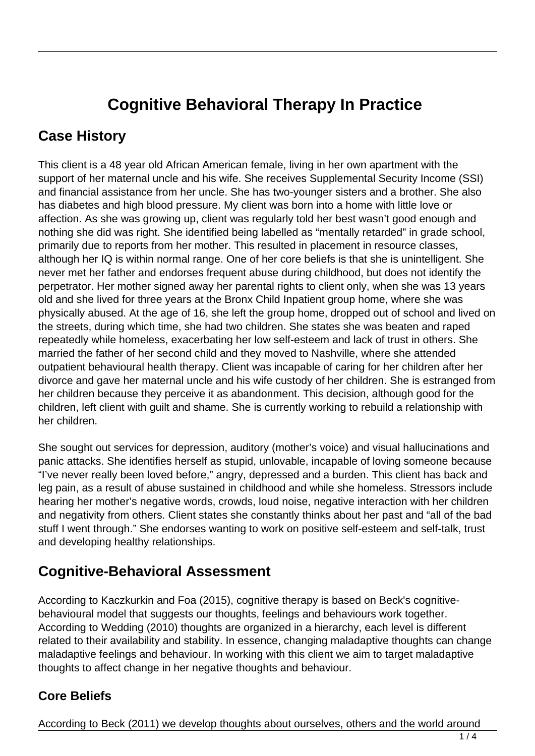# **Cognitive Behavioral Therapy In Practice**

### **Case History**

This client is a 48 year old African American female, living in her own apartment with the support of her maternal uncle and his wife. She receives Supplemental Security Income (SSI) and financial assistance from her uncle. She has two-younger sisters and a brother. She also has diabetes and high blood pressure. My client was born into a home with little love or affection. As she was growing up, client was regularly told her best wasn't good enough and nothing she did was right. She identified being labelled as "mentally retarded" in grade school, primarily due to reports from her mother. This resulted in placement in resource classes, although her IQ is within normal range. One of her core beliefs is that she is unintelligent. She never met her father and endorses frequent abuse during childhood, but does not identify the perpetrator. Her mother signed away her parental rights to client only, when she was 13 years old and she lived for three years at the Bronx Child Inpatient group home, where she was physically abused. At the age of 16, she left the group home, dropped out of school and lived on the streets, during which time, she had two children. She states she was beaten and raped repeatedly while homeless, exacerbating her low self-esteem and lack of trust in others. She married the father of her second child and they moved to Nashville, where she attended outpatient behavioural health therapy. Client was incapable of caring for her children after her divorce and gave her maternal uncle and his wife custody of her children. She is estranged from her children because they perceive it as abandonment. This decision, although good for the children, left client with guilt and shame. She is currently working to rebuild a relationship with her children.

She sought out services for depression, auditory (mother's voice) and visual hallucinations and panic attacks. She identifies herself as stupid, unlovable, incapable of loving someone because "I've never really been loved before," angry, depressed and a burden. This client has back and leg pain, as a result of abuse sustained in childhood and while she homeless. Stressors include hearing her mother's negative words, crowds, loud noise, negative interaction with her children and negativity from others. Client states she constantly thinks about her past and "all of the bad stuff I went through." She endorses wanting to work on positive self-esteem and self-talk, trust and developing healthy relationships.

### **Cognitive-Behavioral Assessment**

According to Kaczkurkin and Foa (2015), cognitive therapy is based on Beck's cognitivebehavioural model that suggests our thoughts, feelings and behaviours work together. According to Wedding (2010) thoughts are organized in a hierarchy, each level is different related to their availability and stability. In essence, changing maladaptive thoughts can change maladaptive feelings and behaviour. In working with this client we aim to target maladaptive thoughts to affect change in her negative thoughts and behaviour.

#### **Core Beliefs**

According to Beck (2011) we develop thoughts about ourselves, others and the world around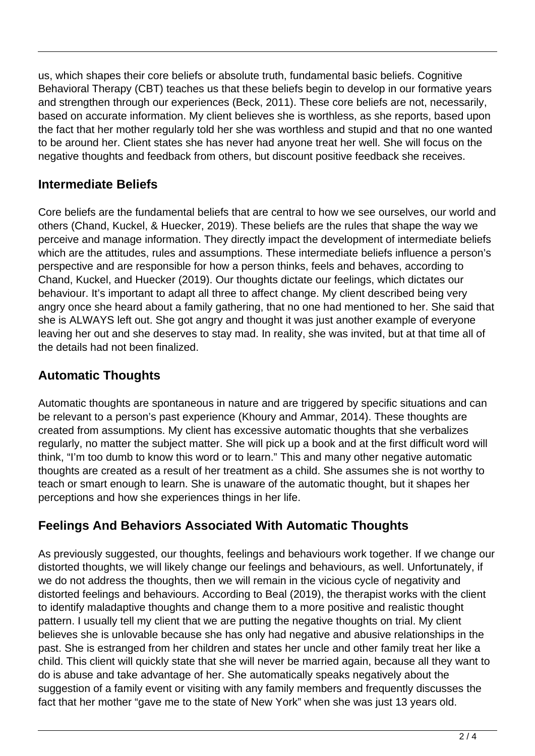us, which shapes their core beliefs or absolute truth, fundamental basic beliefs. Cognitive Behavioral Therapy (CBT) teaches us that these beliefs begin to develop in our formative years and strengthen through our experiences (Beck, 2011). These core beliefs are not, necessarily, based on accurate information. My client believes she is worthless, as she reports, based upon the fact that her mother regularly told her she was worthless and stupid and that no one wanted to be around her. Client states she has never had anyone treat her well. She will focus on the negative thoughts and feedback from others, but discount positive feedback she receives.

#### **Intermediate Beliefs**

Core beliefs are the fundamental beliefs that are central to how we see ourselves, our world and others (Chand, Kuckel, & Huecker, 2019). These beliefs are the rules that shape the way we perceive and manage information. They directly impact the development of intermediate beliefs which are the attitudes, rules and assumptions. These intermediate beliefs influence a person's perspective and are responsible for how a person thinks, feels and behaves, according to Chand, Kuckel, and Huecker (2019). Our thoughts dictate our feelings, which dictates our behaviour. It's important to adapt all three to affect change. My client described being very angry once she heard about a family gathering, that no one had mentioned to her. She said that she is ALWAYS left out. She got angry and thought it was just another example of everyone leaving her out and she deserves to stay mad. In reality, she was invited, but at that time all of the details had not been finalized.

#### **Automatic Thoughts**

Automatic thoughts are spontaneous in nature and are triggered by specific situations and can be relevant to a person's past experience (Khoury and Ammar, 2014). These thoughts are created from assumptions. My client has excessive automatic thoughts that she verbalizes regularly, no matter the subject matter. She will pick up a book and at the first difficult word will think, "I'm too dumb to know this word or to learn." This and many other negative automatic thoughts are created as a result of her treatment as a child. She assumes she is not worthy to teach or smart enough to learn. She is unaware of the automatic thought, but it shapes her perceptions and how she experiences things in her life.

### **Feelings And Behaviors Associated With Automatic Thoughts**

As previously suggested, our thoughts, feelings and behaviours work together. If we change our distorted thoughts, we will likely change our feelings and behaviours, as well. Unfortunately, if we do not address the thoughts, then we will remain in the vicious cycle of negativity and distorted feelings and behaviours. According to Beal (2019), the therapist works with the client to identify maladaptive thoughts and change them to a more positive and realistic thought pattern. I usually tell my client that we are putting the negative thoughts on trial. My client believes she is unlovable because she has only had negative and abusive relationships in the past. She is estranged from her children and states her uncle and other family treat her like a child. This client will quickly state that she will never be married again, because all they want to do is abuse and take advantage of her. She automatically speaks negatively about the suggestion of a family event or visiting with any family members and frequently discusses the fact that her mother "gave me to the state of New York" when she was just 13 years old.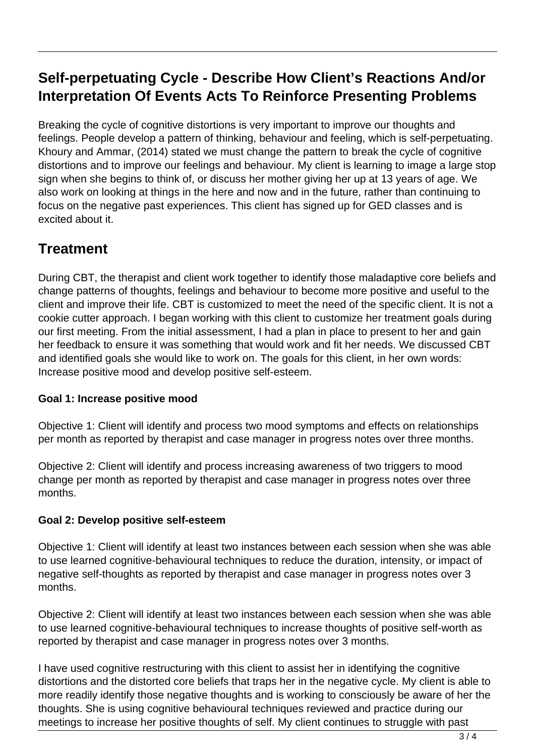## **Self-perpetuating Cycle - Describe How Client's Reactions And/or Interpretation Of Events Acts To Reinforce Presenting Problems**

Breaking the cycle of cognitive distortions is very important to improve our thoughts and feelings. People develop a pattern of thinking, behaviour and feeling, which is self-perpetuating. Khoury and Ammar, (2014) stated we must change the pattern to break the cycle of cognitive distortions and to improve our feelings and behaviour. My client is learning to image a large stop sign when she begins to think of, or discuss her mother giving her up at 13 years of age. We also work on looking at things in the here and now and in the future, rather than continuing to focus on the negative past experiences. This client has signed up for GED classes and is excited about it.

## **Treatment**

During CBT, the therapist and client work together to identify those maladaptive core beliefs and change patterns of thoughts, feelings and behaviour to become more positive and useful to the client and improve their life. CBT is customized to meet the need of the specific client. It is not a cookie cutter approach. I began working with this client to customize her treatment goals during our first meeting. From the initial assessment, I had a plan in place to present to her and gain her feedback to ensure it was something that would work and fit her needs. We discussed CBT and identified goals she would like to work on. The goals for this client, in her own words: Increase positive mood and develop positive self-esteem.

#### **Goal 1: Increase positive mood**

Objective 1: Client will identify and process two mood symptoms and effects on relationships per month as reported by therapist and case manager in progress notes over three months.

Objective 2: Client will identify and process increasing awareness of two triggers to mood change per month as reported by therapist and case manager in progress notes over three months.

#### **Goal 2: Develop positive self-esteem**

Objective 1: Client will identify at least two instances between each session when she was able to use learned cognitive-behavioural techniques to reduce the duration, intensity, or impact of negative self-thoughts as reported by therapist and case manager in progress notes over 3 months.

Objective 2: Client will identify at least two instances between each session when she was able to use learned cognitive-behavioural techniques to increase thoughts of positive self-worth as reported by therapist and case manager in progress notes over 3 months.

I have used cognitive restructuring with this client to assist her in identifying the cognitive distortions and the distorted core beliefs that traps her in the negative cycle. My client is able to more readily identify those negative thoughts and is working to consciously be aware of her the thoughts. She is using cognitive behavioural techniques reviewed and practice during our meetings to increase her positive thoughts of self. My client continues to struggle with past